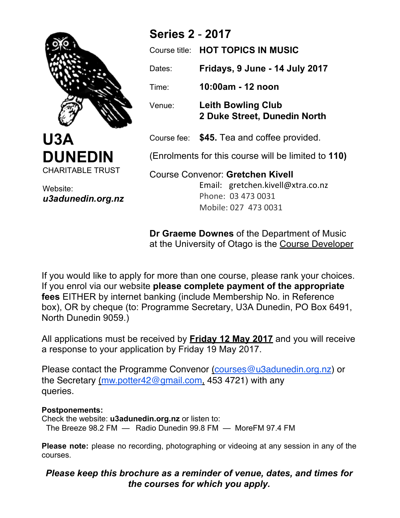

**U3A DUNEDIN** CHARITABLE TRUST

Website: *u3adunedin.org.nz*

# **Series 2** - **2017**

|                                                     | Course title: <b>HOT TOPICS IN MUSIC</b>                  |
|-----------------------------------------------------|-----------------------------------------------------------|
| Dates:                                              | Fridays, 9 June - 14 July 2017                            |
| Time:                                               | 10:00am - 12 noon                                         |
| Venue:                                              | <b>Leith Bowling Club</b><br>2 Duke Street, Dunedin North |
|                                                     | Course fee: \$45. Tea and coffee provided.                |
| (Enrolments for this course will be limited to 110) |                                                           |
| <b>Course Convenor: Gretchen Kivell</b>             |                                                           |

Email: gretchen.kivell@xtra.co.nz Phone: 03 473 0031 Mobile: 027 473 0031

**Dr Graeme Downes** of the Department of Music at the University of Otago is the Course Developer

If you would like to apply for more than one course, please rank your choices. If you enrol via our website **please complete payment of the appropriate fees** EITHER by internet banking (include Membership No. in Reference box), OR by cheque (to: Programme Secretary, U3A Dunedin, PO Box 6491, North Dunedin 9059.)

All applications must be received by **Friday 12 May 2017** and you will receive a response to your application by Friday 19 May 2017.

the Secretary <u>(mw.potter42@gmail.com,</u> 453 4721) with any Please contact the Programme Convenor (courses@u3adunedin.org.nz) or queries.

## **Postponements:**

Check the website: **u3adunedin.org.nz** or listen to: The Breeze 98.2 FM — Radio Dunedin 99.8 FM — MoreFM 97.4 FM

**Please note:** please no recording, photographing or videoing at any session in any of the courses.

# *Please keep this brochure as a reminder of venue, dates, and times for the courses for which you apply.*